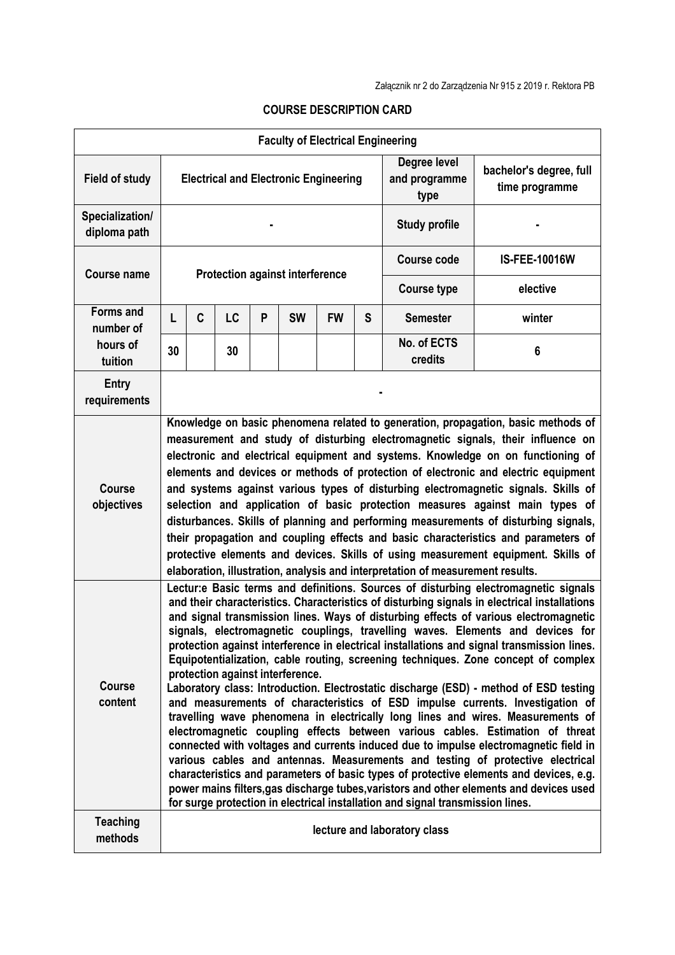|                                                      |                                                                                                                                                                                                                                                                                                                                                                                                                                                                                                                                                                                                                                                                                                                                                                                                                                                                                                                                                                                                                                                                                                                                                                                                                                                                                                                                                                                      |   |    |   |           | <b>Faculty of Electrical Engineering</b> |   |                                       |                                           |  |  |
|------------------------------------------------------|--------------------------------------------------------------------------------------------------------------------------------------------------------------------------------------------------------------------------------------------------------------------------------------------------------------------------------------------------------------------------------------------------------------------------------------------------------------------------------------------------------------------------------------------------------------------------------------------------------------------------------------------------------------------------------------------------------------------------------------------------------------------------------------------------------------------------------------------------------------------------------------------------------------------------------------------------------------------------------------------------------------------------------------------------------------------------------------------------------------------------------------------------------------------------------------------------------------------------------------------------------------------------------------------------------------------------------------------------------------------------------------|---|----|---|-----------|------------------------------------------|---|---------------------------------------|-------------------------------------------|--|--|
| <b>Field of study</b>                                | <b>Electrical and Electronic Engineering</b>                                                                                                                                                                                                                                                                                                                                                                                                                                                                                                                                                                                                                                                                                                                                                                                                                                                                                                                                                                                                                                                                                                                                                                                                                                                                                                                                         |   |    |   |           |                                          |   | Degree level<br>and programme<br>type | bachelor's degree, full<br>time programme |  |  |
| Specialization/<br>diploma path                      |                                                                                                                                                                                                                                                                                                                                                                                                                                                                                                                                                                                                                                                                                                                                                                                                                                                                                                                                                                                                                                                                                                                                                                                                                                                                                                                                                                                      |   |    |   |           |                                          |   | <b>Study profile</b>                  |                                           |  |  |
| <b>Course name</b>                                   | <b>Protection against interference</b>                                                                                                                                                                                                                                                                                                                                                                                                                                                                                                                                                                                                                                                                                                                                                                                                                                                                                                                                                                                                                                                                                                                                                                                                                                                                                                                                               |   |    |   |           |                                          |   | <b>Course code</b>                    | <b>IS-FEE-10016W</b>                      |  |  |
|                                                      |                                                                                                                                                                                                                                                                                                                                                                                                                                                                                                                                                                                                                                                                                                                                                                                                                                                                                                                                                                                                                                                                                                                                                                                                                                                                                                                                                                                      |   |    |   |           |                                          |   | <b>Course type</b>                    | elective                                  |  |  |
| <b>Forms and</b><br>number of<br>hours of<br>tuition | L                                                                                                                                                                                                                                                                                                                                                                                                                                                                                                                                                                                                                                                                                                                                                                                                                                                                                                                                                                                                                                                                                                                                                                                                                                                                                                                                                                                    | C | LC | P | <b>SW</b> | <b>FW</b>                                | S | <b>Semester</b>                       | winter                                    |  |  |
|                                                      | 30                                                                                                                                                                                                                                                                                                                                                                                                                                                                                                                                                                                                                                                                                                                                                                                                                                                                                                                                                                                                                                                                                                                                                                                                                                                                                                                                                                                   |   | 30 |   |           |                                          |   | No. of ECTS<br>credits                | 6                                         |  |  |
| <b>Entry</b><br>requirements                         |                                                                                                                                                                                                                                                                                                                                                                                                                                                                                                                                                                                                                                                                                                                                                                                                                                                                                                                                                                                                                                                                                                                                                                                                                                                                                                                                                                                      |   |    |   |           |                                          |   |                                       |                                           |  |  |
| <b>Course</b><br>objectives                          | Knowledge on basic phenomena related to generation, propagation, basic methods of<br>measurement and study of disturbing electromagnetic signals, their influence on<br>electronic and electrical equipment and systems. Knowledge on on functioning of<br>elements and devices or methods of protection of electronic and electric equipment<br>and systems against various types of disturbing electromagnetic signals. Skills of<br>selection and application of basic protection measures against main types of<br>disturbances. Skills of planning and performing measurements of disturbing signals,<br>their propagation and coupling effects and basic characteristics and parameters of<br>protective elements and devices. Skills of using measurement equipment. Skills of<br>elaboration, illustration, analysis and interpretation of measurement results.                                                                                                                                                                                                                                                                                                                                                                                                                                                                                                              |   |    |   |           |                                          |   |                                       |                                           |  |  |
| <b>Course</b><br>content                             | Lectur: eBasic terms and definitions. Sources of disturbing electromagnetic signals<br>and their characteristics. Characteristics of disturbing signals in electrical installations<br>and signal transmission lines. Ways of disturbing effects of various electromagnetic<br>signals, electromagnetic couplings, travelling waves. Elements and devices for<br>protection against interference in electrical installations and signal transmission lines.<br>Equipotentialization, cable routing, screening techniques. Zone concept of complex<br>protection against interference.<br>Laboratory class: Introduction. Electrostatic discharge (ESD) - method of ESD testing<br>and measurements of characteristics of ESD impulse currents. Investigation of<br>travelling wave phenomena in electrically long lines and wires. Measurements of<br>electromagnetic coupling effects between various cables. Estimation of threat<br>connected with voltages and currents induced due to impulse electromagnetic field in<br>various cables and antennas. Measurements and testing of protective electrical<br>characteristics and parameters of basic types of protective elements and devices, e.g.<br>power mains filters, gas discharge tubes, varistors and other elements and devices used<br>for surge protection in electrical installation and signal transmission lines. |   |    |   |           |                                          |   |                                       |                                           |  |  |
| <b>Teaching</b><br>methods                           | lecture and laboratory class                                                                                                                                                                                                                                                                                                                                                                                                                                                                                                                                                                                                                                                                                                                                                                                                                                                                                                                                                                                                                                                                                                                                                                                                                                                                                                                                                         |   |    |   |           |                                          |   |                                       |                                           |  |  |

## **COURSE DESCRIPTION CARD**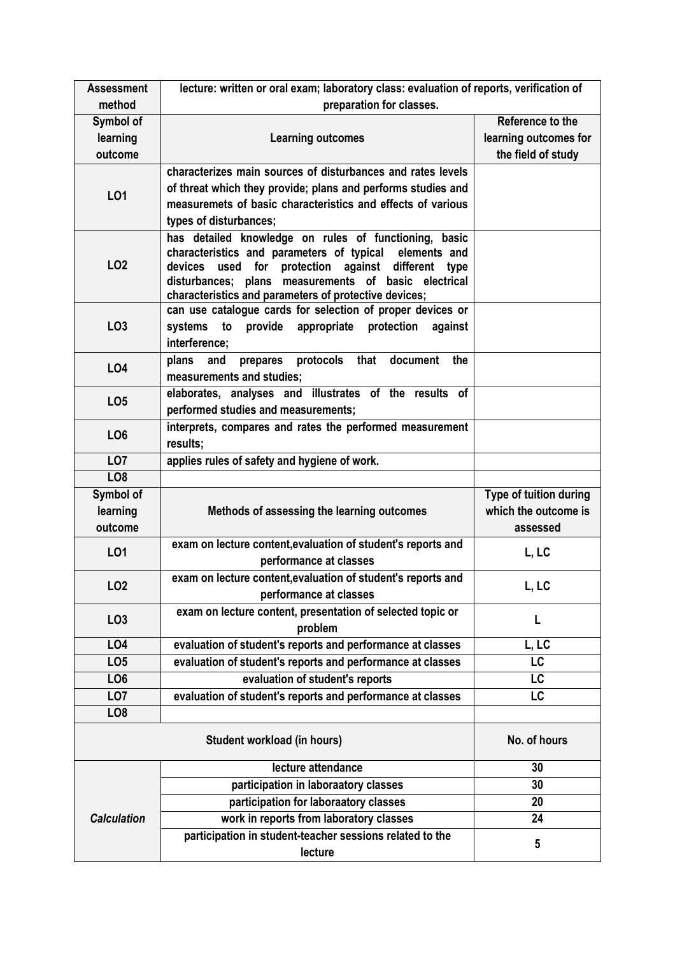| <b>Assessment</b>  | lecture: written or oral exam; laboratory class: evaluation of reports, verification of                       |                        |  |  |  |  |  |  |
|--------------------|---------------------------------------------------------------------------------------------------------------|------------------------|--|--|--|--|--|--|
| method             | preparation for classes.                                                                                      |                        |  |  |  |  |  |  |
| Symbol of          |                                                                                                               | Reference to the       |  |  |  |  |  |  |
| learning           | <b>Learning outcomes</b>                                                                                      | learning outcomes for  |  |  |  |  |  |  |
| outcome            |                                                                                                               | the field of study     |  |  |  |  |  |  |
|                    | characterizes main sources of disturbances and rates levels                                                   |                        |  |  |  |  |  |  |
| L01                | of threat which they provide; plans and performs studies and                                                  |                        |  |  |  |  |  |  |
|                    | measuremets of basic characteristics and effects of various                                                   |                        |  |  |  |  |  |  |
|                    | types of disturbances;                                                                                        |                        |  |  |  |  |  |  |
| LO <sub>2</sub>    | has detailed knowledge on rules of functioning, basic                                                         |                        |  |  |  |  |  |  |
|                    | characteristics and parameters of typical<br>elements and                                                     |                        |  |  |  |  |  |  |
|                    | used for protection against different type<br>devices                                                         |                        |  |  |  |  |  |  |
|                    | disturbances; plans measurements of basic electrical<br>characteristics and parameters of protective devices; |                        |  |  |  |  |  |  |
|                    | can use catalogue cards for selection of proper devices or                                                    |                        |  |  |  |  |  |  |
| LO <sub>3</sub>    | systems to<br>provide<br>appropriate protection<br>against                                                    |                        |  |  |  |  |  |  |
|                    | interference:                                                                                                 |                        |  |  |  |  |  |  |
|                    | protocols that<br>plans and<br>document<br>the<br>prepares                                                    |                        |  |  |  |  |  |  |
| <b>LO4</b>         | measurements and studies;                                                                                     |                        |  |  |  |  |  |  |
|                    | elaborates, analyses and illustrates of the results of                                                        |                        |  |  |  |  |  |  |
| LO <sub>5</sub>    | performed studies and measurements;                                                                           |                        |  |  |  |  |  |  |
|                    | interprets, compares and rates the performed measurement                                                      |                        |  |  |  |  |  |  |
| LO <sub>6</sub>    | results;                                                                                                      |                        |  |  |  |  |  |  |
| LO <sub>7</sub>    | applies rules of safety and hygiene of work.                                                                  |                        |  |  |  |  |  |  |
|                    |                                                                                                               |                        |  |  |  |  |  |  |
| LO <sub>8</sub>    |                                                                                                               |                        |  |  |  |  |  |  |
| Symbol of          |                                                                                                               | Type of tuition during |  |  |  |  |  |  |
| learning           | Methods of assessing the learning outcomes                                                                    | which the outcome is   |  |  |  |  |  |  |
| outcome            |                                                                                                               | assessed               |  |  |  |  |  |  |
|                    | exam on lecture content, evaluation of student's reports and                                                  |                        |  |  |  |  |  |  |
| L01                | performance at classes                                                                                        | L, LC                  |  |  |  |  |  |  |
|                    | exam on lecture content, evaluation of student's reports and                                                  |                        |  |  |  |  |  |  |
| LO <sub>2</sub>    | performance at classes                                                                                        | L, LC                  |  |  |  |  |  |  |
|                    | exam on lecture content, presentation of selected topic or                                                    |                        |  |  |  |  |  |  |
| LO <sub>3</sub>    | problem                                                                                                       | L                      |  |  |  |  |  |  |
| LO <sub>4</sub>    | evaluation of student's reports and performance at classes                                                    | L, LC                  |  |  |  |  |  |  |
| LO <sub>5</sub>    | evaluation of student's reports and performance at classes                                                    | LC                     |  |  |  |  |  |  |
| LO <sub>6</sub>    | evaluation of student's reports                                                                               | LC                     |  |  |  |  |  |  |
| LO <sub>7</sub>    | evaluation of student's reports and performance at classes                                                    | $\overline{\text{LC}}$ |  |  |  |  |  |  |
| LO <sub>8</sub>    |                                                                                                               |                        |  |  |  |  |  |  |
|                    |                                                                                                               |                        |  |  |  |  |  |  |
|                    | <b>Student workload (in hours)</b>                                                                            | No. of hours           |  |  |  |  |  |  |
|                    | lecture attendance                                                                                            | 30                     |  |  |  |  |  |  |
|                    | participation in laboraatory classes                                                                          | 30                     |  |  |  |  |  |  |
|                    | participation for laboraatory classes                                                                         | 20                     |  |  |  |  |  |  |
| <b>Calculation</b> | work in reports from laboratory classes                                                                       | 24                     |  |  |  |  |  |  |
|                    | participation in student-teacher sessions related to the                                                      | 5                      |  |  |  |  |  |  |